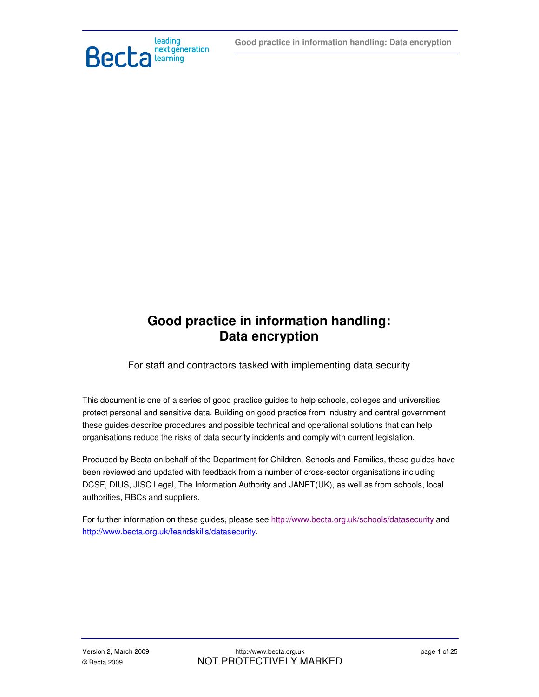

# **Good practice in information handling: Data encryption**

For staff and contractors tasked with implementing data security

This document is one of a series of good practice guides to help schools, colleges and universities protect personal and sensitive data. Building on good practice from industry and central government these guides describe procedures and possible technical and operational solutions that can help organisations reduce the risks of data security incidents and comply with current legislation.

Produced by Becta on behalf of the Department for Children, Schools and Families, these guides have been reviewed and updated with feedback from a number of cross-sector organisations including DCSF, DIUS, JISC Legal, The Information Authority and JANET(UK), as well as from schools, local authorities, RBCs and suppliers.

For further information on these guides, please see http://www.becta.org.uk/schools/datasecurity and http://www.becta.org.uk/feandskills/datasecurity.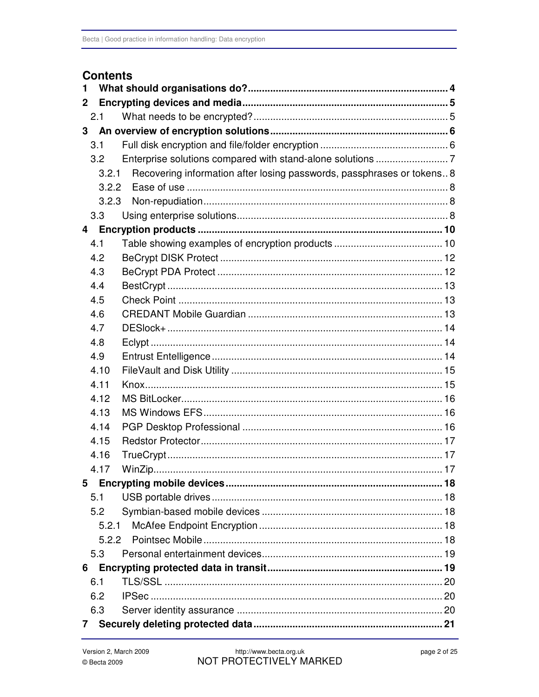## **Contents**

| 1              |       |                                                                        |  |  |  |  |  |
|----------------|-------|------------------------------------------------------------------------|--|--|--|--|--|
| $\mathbf{2}$   |       |                                                                        |  |  |  |  |  |
| 2.1            |       |                                                                        |  |  |  |  |  |
| 3              |       |                                                                        |  |  |  |  |  |
| 3.1            |       |                                                                        |  |  |  |  |  |
|                | 3.2   |                                                                        |  |  |  |  |  |
|                | 3.2.1 | Recovering information after losing passwords, passphrases or tokens 8 |  |  |  |  |  |
|                | 3.2.2 |                                                                        |  |  |  |  |  |
|                | 3.2.3 |                                                                        |  |  |  |  |  |
|                | 3.3   |                                                                        |  |  |  |  |  |
| $\overline{4}$ |       |                                                                        |  |  |  |  |  |
| 4.1            |       |                                                                        |  |  |  |  |  |
|                | 4.2   |                                                                        |  |  |  |  |  |
|                | 4.3   |                                                                        |  |  |  |  |  |
| 4.4            |       |                                                                        |  |  |  |  |  |
| 4.5            |       |                                                                        |  |  |  |  |  |
| 4.6            |       |                                                                        |  |  |  |  |  |
|                | 4.7   |                                                                        |  |  |  |  |  |
| 4.8            |       |                                                                        |  |  |  |  |  |
|                | 4.9   |                                                                        |  |  |  |  |  |
|                | 4.10  |                                                                        |  |  |  |  |  |
|                | 4.11  |                                                                        |  |  |  |  |  |
|                | 4.12  |                                                                        |  |  |  |  |  |
|                | 4.13  |                                                                        |  |  |  |  |  |
|                | 4.14  |                                                                        |  |  |  |  |  |
|                | 4.15  |                                                                        |  |  |  |  |  |
|                | 4.16  |                                                                        |  |  |  |  |  |
|                | 4.17  |                                                                        |  |  |  |  |  |
|                |       |                                                                        |  |  |  |  |  |
| 5.1            |       |                                                                        |  |  |  |  |  |
|                | 5.2   |                                                                        |  |  |  |  |  |
|                | 5.2.1 |                                                                        |  |  |  |  |  |
|                |       |                                                                        |  |  |  |  |  |
|                | 5.3   |                                                                        |  |  |  |  |  |
| 6              |       |                                                                        |  |  |  |  |  |
| 6.1            |       |                                                                        |  |  |  |  |  |
|                | 6.2   |                                                                        |  |  |  |  |  |
|                | 6.3   |                                                                        |  |  |  |  |  |
| 7              |       |                                                                        |  |  |  |  |  |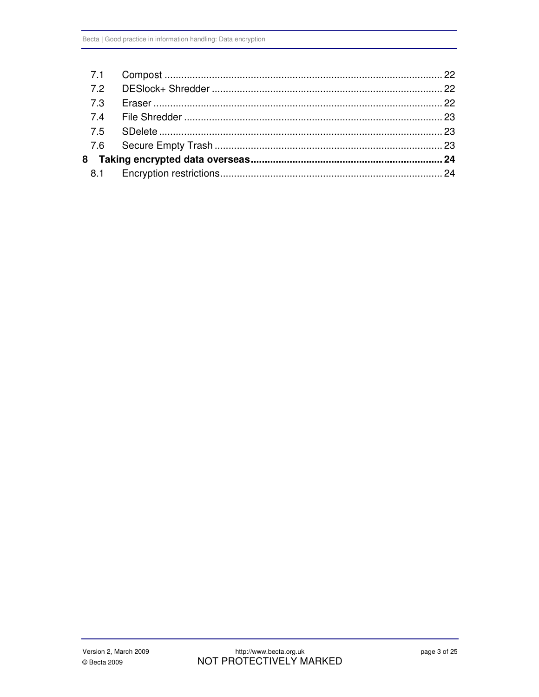| 7.3 |  |
|-----|--|
|     |  |
|     |  |
|     |  |
|     |  |
|     |  |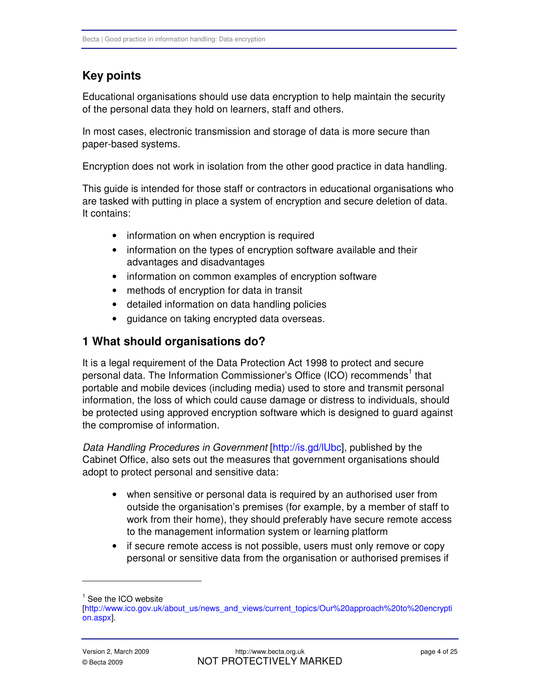## **Key points**

Educational organisations should use data encryption to help maintain the security of the personal data they hold on learners, staff and others.

In most cases, electronic transmission and storage of data is more secure than paper-based systems.

Encryption does not work in isolation from the other good practice in data handling.

This guide is intended for those staff or contractors in educational organisations who are tasked with putting in place a system of encryption and secure deletion of data. It contains:

- information on when encryption is required
- information on the types of encryption software available and their advantages and disadvantages
- information on common examples of encryption software
- methods of encryption for data in transit
- detailed information on data handling policies
- • guidance on taking encrypted data overseas.

## **1 What should organisations do?**

It is a legal requirement of the Data Protection Act 1998 to protect and secure personal data. The Information Commissioner's Office (ICO) recommends<sup>1</sup> that portable and mobile devices (including media) used to store and transmit personal information, the loss of which could cause damage or distress to individuals, should be protected using approved encryption software which is designed to guard against the compromise of information.

Data Handling Procedures in Government [\[http://is.gd/lUbc\],](http://is.gd/lUbc) published by the Cabinet Office, also sets out the measures that government organisations should adopt to protect personal and sensitive data:

- when sensitive or personal data is required by an authorised user from outside the organisation's premises (for example, by a member of staff to work from their home), they should preferably have secure remote access to the management information system or learning platform
- if secure remote access is not possible, users must only remove or copy personal or sensitive data from the organisation or authorised premises if

<sup>1</sup> See the ICO website

[<sup>\[</sup>http://www.ico.gov.uk/about\\_us/news\\_and\\_views/current\\_topics/Our%20approach%20to%20encrypti](http://www.ico.gov.uk/about_us/news_and_views/current_topics/Our%20approach%20to%20encryption.aspx)  on.aspx].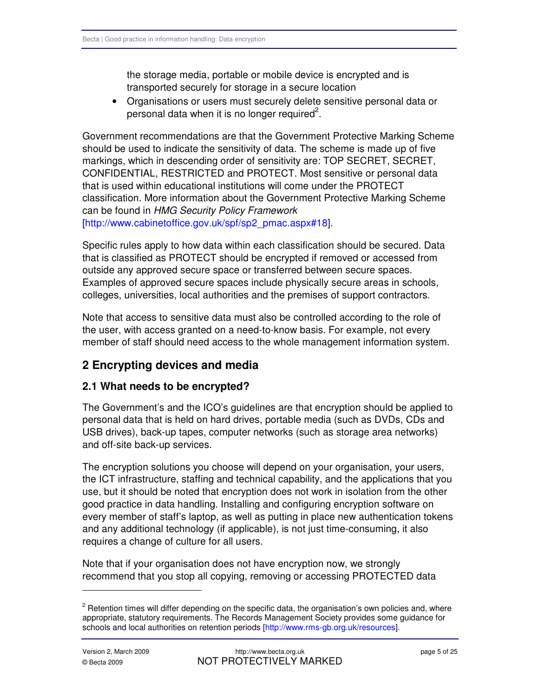the storage media, portable or mobile device is encrypted and is transported securely for storage in a secure location

• Organisations or users must securely delete sensitive personal data or personal data when it is no longer required<sup>2</sup>.

Government recommendations are that the Government Protective Marking Scheme should be used to indicate the sensitivity of data. The scheme is made up of five markings, which in descending order of sensitivity are: TOP SECRET, SECRET, CONFIDENTIAL, RESTRICTED and PROTECT. Most sensitive or personal data that is used within educational institutions will come under the PROTECT classification. More information about the Government Protective Marking Scheme can be found in HMG Security Policy Framework [\[http://www.cabinetoffice.gov.uk/spf/sp2\\_pmac.aspx#18\].](http://www.cabinetoffice.gov.uk/spf/sp2_pmac.aspx#18) 

Specific rules apply to how data within each classification should be secured. Data that is classified as PROTECT should be encrypted if removed or accessed from outside any approved secure space or transferred between secure spaces. Examples of approved secure spaces include physically secure areas in schools, colleges, universities, local authorities and the premises of support contractors.

Note that access to sensitive data must also be controlled according to the role of the user, with access granted on a need-to-know basis. For example, not every member of staff should need access to the whole management information system.

## **2 Encrypting devices and media**

#### **2.1 What needs to be encrypted?**

The Government's and the ICO's guidelines are that encryption should be applied to personal data that is held on hard drives, portable media (such as DVDs, CDs and USB drives), back-up tapes, computer networks (such as storage area networks) and off-site back-up services.

The encryption solutions you choose will depend on your organisation, your users, the ICT infrastructure, staffing and technical capability, and the applications that you use, but it should be noted that encryption does not work in isolation from the other good practice in data handling. Installing and configuring encryption software on every member of staff's laptop, as well as putting in place new authentication tokens and any additional technology (if applicable), is not just time-consuming, it also requires a change of culture for all users.

Note that if your organisation does not have encryption now, we strongly recommend that you stop all copying, removing or accessing PROTECTED data

 $2$  Retention times will differ depending on the specific data, the organisation's own policies and, where appropriate, statutory requirements. The Records Management Society provides some guidance for schools and local authorities on retention period[s \[http://www.rms-gb.org.uk/resources\].](http://www.rms-gb.org.uk/resources)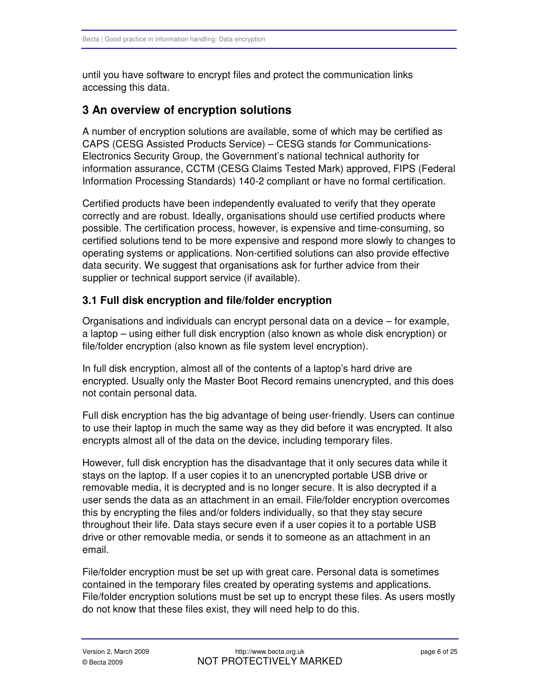until you have software to encrypt files and protect the communication links accessing this data.

## **3 An overview of encryption solutions**

A number of encryption solutions are available, some of which may be certified as CAPS (CESG Assisted Products Service) – CESG stands for Communications-Electronics Security Group, the Government's national technical authority for information assurance, CCTM (CESG Claims Tested Mark) approved, FIPS (Federal Information Processing Standards) 140-2 compliant or have no formal certification.

Certified products have been independently evaluated to verify that they operate correctly and are robust. Ideally, organisations should use certified products where possible. The certification process, however, is expensive and time-consuming, so certified solutions tend to be more expensive and respond more slowly to changes to operating systems or applications. Non-certified solutions can also provide effective data security. We suggest that organisations ask for further advice from their supplier or technical support service (if available).

## **3.1 Full disk encryption and file/folder encryption**

Organisations and individuals can encrypt personal data on a device – for example, a laptop – using either full disk encryption (also known as whole disk encryption) or file/folder encryption (also known as file system level encryption).

In full disk encryption, almost all of the contents of a laptop's hard drive are encrypted. Usually only the Master Boot Record remains unencrypted, and this does not contain personal data.

Full disk encryption has the big advantage of being user-friendly. Users can continue to use their laptop in much the same way as they did before it was encrypted. It also encrypts almost all of the data on the device, including temporary files.

However, full disk encryption has the disadvantage that it only secures data while it stays on the laptop. If a user copies it to an unencrypted portable USB drive or removable media, it is decrypted and is no longer secure. It is also decrypted if a user sends the data as an attachment in an email. File/folder encryption overcomes this by encrypting the files and/or folders individually, so that they stay secure throughout their life. Data stays secure even if a user copies it to a portable USB drive or other removable media, or sends it to someone as an attachment in an email.

File/folder encryption must be set up with great care. Personal data is sometimes contained in the temporary files created by operating systems and applications. File/folder encryption solutions must be set up to encrypt these files. As users mostly do not know that these files exist, they will need help to do this.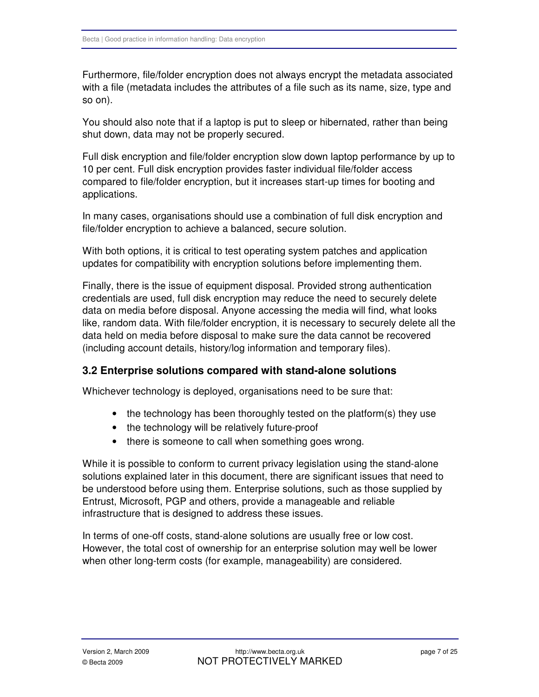Furthermore, file/folder encryption does not always encrypt the metadata associated with a file (metadata includes the attributes of a file such as its name, size, type and so on).

You should also note that if a laptop is put to sleep or hibernated, rather than being shut down, data may not be properly secured.

Full disk encryption and file/folder encryption slow down laptop performance by up to 10 per cent. Full disk encryption provides faster individual file/folder access compared to file/folder encryption, but it increases start-up times for booting and applications.

In many cases, organisations should use a combination of full disk encryption and file/folder encryption to achieve a balanced, secure solution.

With both options, it is critical to test operating system patches and application updates for compatibility with encryption solutions before implementing them.

Finally, there is the issue of equipment disposal. Provided strong authentication credentials are used, full disk encryption may reduce the need to securely delete data on media before disposal. Anyone accessing the media will find, what looks like, random data. With file/folder encryption, it is necessary to securely delete all the data held on media before disposal to make sure the data cannot be recovered (including account details, history/log information and temporary files).

## **3.2 Enterprise solutions compared with stand-alone solutions**

Whichever technology is deployed, organisations need to be sure that:

- the technology has been thoroughly tested on the platform(s) they use
- the technology will be relatively future-proof
- there is someone to call when something goes wrong.

While it is possible to conform to current privacy legislation using the stand-alone solutions explained later in this document, there are significant issues that need to be understood before using them. Enterprise solutions, such as those supplied by Entrust, Microsoft, PGP and others, provide a manageable and reliable infrastructure that is designed to address these issues.

In terms of one-off costs, stand-alone solutions are usually free or low cost. However, the total cost of ownership for an enterprise solution may well be lower when other long-term costs (for example, manageability) are considered.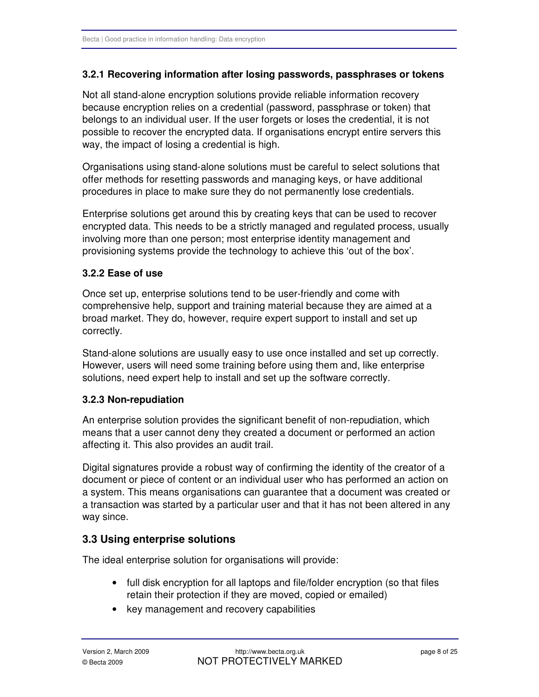#### **3.2.1 Recovering information after losing passwords, passphrases or tokens**

Not all stand-alone encryption solutions provide reliable information recovery because encryption relies on a credential (password, passphrase or token) that belongs to an individual user. If the user forgets or loses the credential, it is not possible to recover the encrypted data. If organisations encrypt entire servers this way, the impact of losing a credential is high.

Organisations using stand-alone solutions must be careful to select solutions that offer methods for resetting passwords and managing keys, or have additional procedures in place to make sure they do not permanently lose credentials.

Enterprise solutions get around this by creating keys that can be used to recover encrypted data. This needs to be a strictly managed and regulated process, usually involving more than one person; most enterprise identity management and provisioning systems provide the technology to achieve this 'out of the box'.

#### **3.2.2 Ease of use**

Once set up, enterprise solutions tend to be user-friendly and come with comprehensive help, support and training material because they are aimed at a broad market. They do, however, require expert support to install and set up correctly.

Stand-alone solutions are usually easy to use once installed and set up correctly. However, users will need some training before using them and, like enterprise solutions, need expert help to install and set up the software correctly.

#### **3.2.3 Non-repudiation**

An enterprise solution provides the significant benefit of non-repudiation, which means that a user cannot deny they created a document or performed an action affecting it. This also provides an audit trail.

Digital signatures provide a robust way of confirming the identity of the creator of a document or piece of content or an individual user who has performed an action on a system. This means organisations can guarantee that a document was created or a transaction was started by a particular user and that it has not been altered in any way since.

#### **3.3 Using enterprise solutions**

The ideal enterprise solution for organisations will provide:

- full disk encryption for all laptops and file/folder encryption (so that files retain their protection if they are moved, copied or emailed)
- key management and recovery capabilities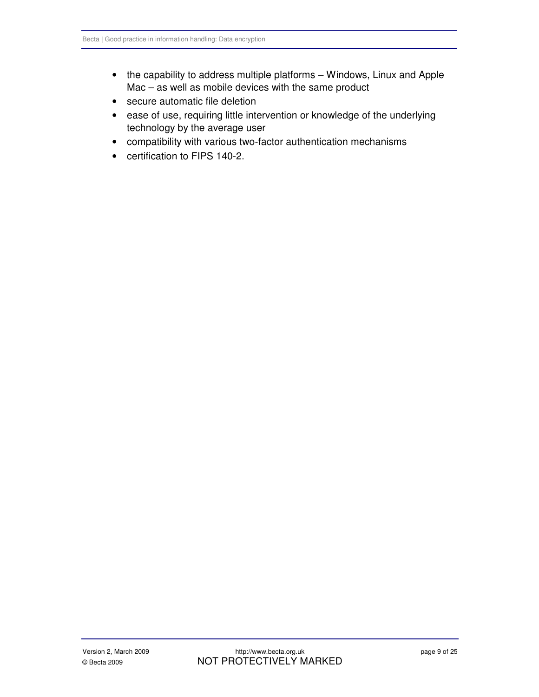- the capability to address multiple platforms Windows, Linux and Apple Mac – as well as mobile devices with the same product
- • secure automatic file deletion
- ease of use, requiring little intervention or knowledge of the underlying technology by the average user
- • compatibility with various two-factor authentication mechanisms
- certification to FIPS 140-2.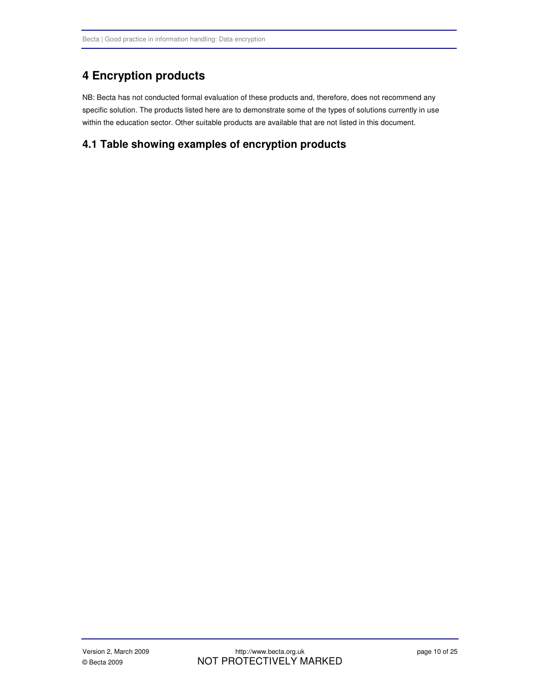## **4 Encryption products**

NB: Becta has not conducted formal evaluation of these products and, therefore, does not recommend any specific solution. The products listed here are to demonstrate some of the types of solutions currently in use within the education sector. Other suitable products are available that are not listed in this document.

### **4.1 Table showing examples of encryption products**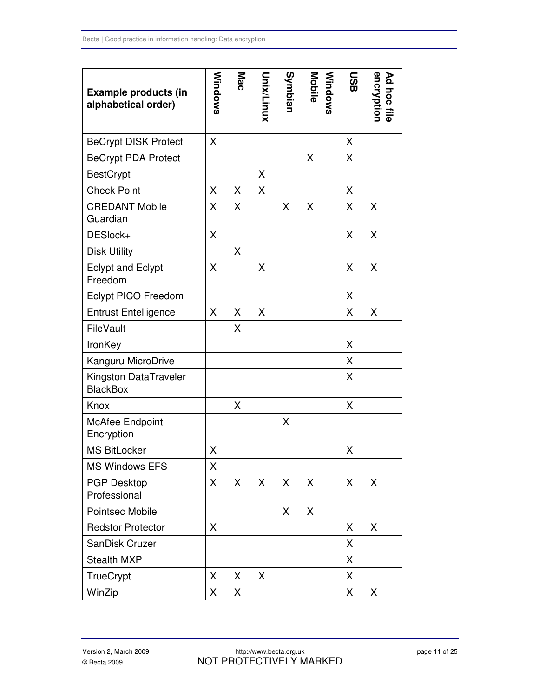| <b>Example products (in</b><br>alphabetical order) | Windows | Mac | unix/Linux | Symbian | <b>Windows</b><br>Mobile | <b>OSB</b> | Ad hoc file<br>encryption |
|----------------------------------------------------|---------|-----|------------|---------|--------------------------|------------|---------------------------|
| <b>BeCrypt DISK Protect</b>                        | X       |     |            |         |                          | X          |                           |
| <b>BeCrypt PDA Protect</b>                         |         |     |            |         | X                        | X          |                           |
| <b>BestCrypt</b>                                   |         |     | X          |         |                          |            |                           |
| <b>Check Point</b>                                 | X       | X   | X          |         |                          | X          |                           |
| <b>CREDANT Mobile</b><br>Guardian                  | X       | X   |            | X       | X                        | X          | X                         |
| DESlock+                                           | X       |     |            |         |                          | X          | X                         |
| <b>Disk Utility</b>                                |         | X   |            |         |                          |            |                           |
| <b>Eclypt and Eclypt</b><br>Freedom                | X       |     | X          |         |                          | X          | X                         |
| Eclypt PICO Freedom                                |         |     |            |         |                          | X          |                           |
| <b>Entrust Entelligence</b>                        | X       | X   | X          |         |                          | X          | X                         |
| FileVault                                          |         | X   |            |         |                          |            |                           |
| IronKey                                            |         |     |            |         |                          | X          |                           |
| Kanguru MicroDrive                                 |         |     |            |         |                          | X          |                           |
| Kingston DataTraveler<br><b>BlackBox</b>           |         |     |            |         |                          | X          |                           |
| Knox                                               |         | X   |            |         |                          | X          |                           |
| <b>McAfee Endpoint</b><br>Encryption               |         |     |            | X       |                          |            |                           |
| <b>MS BitLocker</b>                                | X       |     |            |         |                          | X          |                           |
| <b>MS Windows EFS</b>                              | X       |     |            |         |                          |            |                           |
| <b>PGP Desktop</b><br>Professional                 | X       | X   | X          | X       | X                        | X          | X                         |
| Pointsec Mobile                                    |         |     |            | X       | X                        |            |                           |
| <b>Redstor Protector</b>                           | X       |     |            |         |                          | X          | X                         |
| SanDisk Cruzer                                     |         |     |            |         |                          | X          |                           |
| <b>Stealth MXP</b>                                 |         |     |            |         |                          | X          |                           |
| TrueCrypt                                          | X       | X   | X          |         |                          | X          |                           |
| WinZip                                             | X       | X   |            |         |                          | X          | X                         |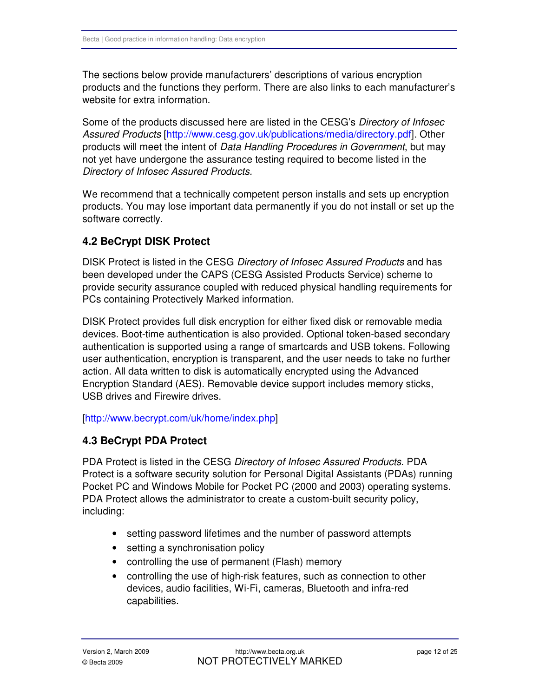The sections below provide manufacturers' descriptions of various encryption products and the functions they perform. There are also links to each manufacturer's website for extra information.

Some of the products discussed here are listed in the CESG's Directory of Infosec Assured Products [\[http://www.cesg.gov.uk/publications/media/directory.pdf\]. O](http://www.cesg.gov.uk/publications/media/directory.pdf)ther products will meet the intent of Data Handling Procedures in Government, but may not yet have undergone the assurance testing required to become listed in the Directory of Infosec Assured Products.

We recommend that a technically competent person installs and sets up encryption products. You may lose important data permanently if you do not install or set up the software correctly.

## **4.2 BeCrypt DISK Protect**

DISK Protect is listed in the CESG Directory of Infosec Assured Products and has been developed under the CAPS (CESG Assisted Products Service) scheme to provide security assurance coupled with reduced physical handling requirements for PCs containing Protectively Marked information.

DISK Protect provides full disk encryption for either fixed disk or removable media devices. Boot-time authentication is also provided. Optional token-based secondary authentication is supported using a range of smartcards and USB tokens. Following user authentication, encryption is transparent, and the user needs to take no further action. All data written to disk is automatically encrypted using the Advanced Encryption Standard (AES). Removable device support includes memory sticks, USB drives and Firewire drives.

#### [\[http://www.becrypt.com/uk/home/index.php\]](http://www.becrypt.com/uk/home/index.php)

## **4.3 BeCrypt PDA Protect**

PDA Protect is listed in the CESG Directory of Infosec Assured Products. PDA Protect is a software security solution for Personal Digital Assistants (PDAs) running Pocket PC and Windows Mobile for Pocket PC (2000 and 2003) operating systems. PDA Protect allows the administrator to create a custom-built security policy, including:

- setting password lifetimes and the number of password attempts
- setting a synchronisation policy
- controlling the use of permanent (Flash) memory
- controlling the use of high-risk features, such as connection to other devices, audio facilities, Wi-Fi, cameras, Bluetooth and infra-red capabilities.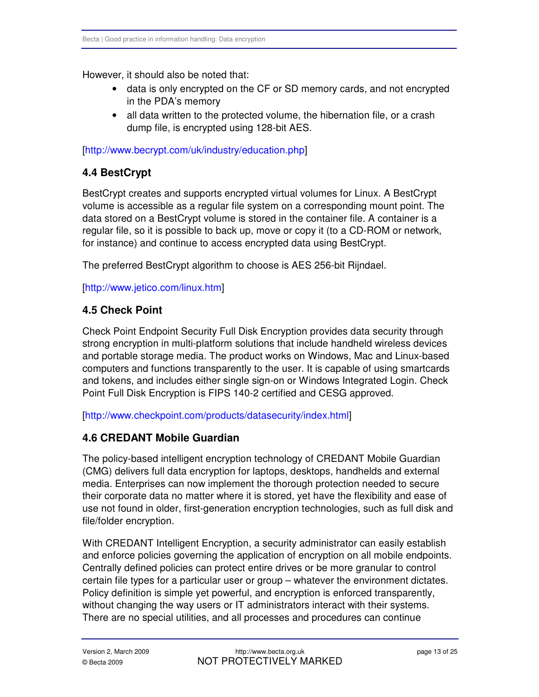However, it should also be noted that:

- data is only encrypted on the CF or SD memory cards, and not encrypted in the PDA's memory
- all data written to the protected volume, the hibernation file, or a crash dump file, is encrypted using 128-bit AES.

#### [\[http://www.becrypt.com/uk/industry/education.php\]](http://www.becrypt.com/uk/industry/education.php)

## **4.4 BestCrypt**

BestCrypt creates and supports encrypted virtual volumes for Linux. A BestCrypt volume is accessible as a regular file system on a corresponding mount point. The data stored on a BestCrypt volume is stored in the container file. A container is a regular file, so it is possible to back up, move or copy it (to a CD-ROM or network, for instance) and continue to access encrypted data using BestCrypt.

The preferred BestCrypt algorithm to choose is AES 256-bit Rijndael.

[\[http://www.jetico.com/linux.htm\]](http://www.jetico.com/linux.htm) 

## **4.5 Check Point**

Check Point Endpoint Security Full Disk Encryption provides data security through strong encryption in multi-platform solutions that include handheld wireless devices and portable storage media. The product works on Windows, Mac and Linux-based computers and functions transparently to the user. It is capable of using smartcards and tokens, and includes either single sign-on or Windows Integrated Login. Check Point Full Disk Encryption is FIPS 140-2 certified and CESG approved.

[\[http://www.checkpoint.com/products/datasecurity/index.html\]](http://www.checkpoint.com/products/datasecurity/index.html) 

## **4.6 CREDANT Mobile Guardian**

The policy-based intelligent encryption technology of CREDANT Mobile Guardian (CMG) delivers full data encryption for laptops, desktops, handhelds and external media. Enterprises can now implement the thorough protection needed to secure their corporate data no matter where it is stored, yet have the flexibility and ease of use not found in older, first-generation encryption technologies, such as full disk and file/folder encryption.

With CREDANT Intelligent Encryption, a security administrator can easily establish and enforce policies governing the application of encryption on all mobile endpoints. Centrally defined policies can protect entire drives or be more granular to control certain file types for a particular user or group – whatever the environment dictates. Policy definition is simple yet powerful, and encryption is enforced transparently, without changing the way users or IT administrators interact with their systems. There are no special utilities, and all processes and procedures can continue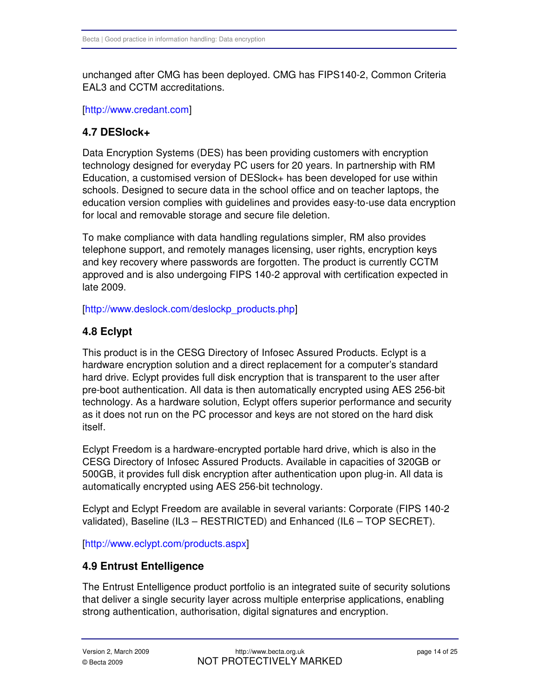unchanged after CMG has been deployed. CMG has FIPS140-2, Common Criteria EAL3 and CCTM accreditations.

[\[http://www.credant.com\]](http://www.credant.com) 

### **4.7 DESlock+**

Data Encryption Systems (DES) has been providing customers with encryption technology designed for everyday PC users for 20 years. In partnership with RM Education, a customised version of DESlock+ has been developed for use within schools. Designed to secure data in the school office and on teacher laptops, the education version complies with guidelines and provides easy-to-use data encryption for local and removable storage and secure file deletion.

To make compliance with data handling regulations simpler, RM also provides telephone support, and remotely manages licensing, user rights, encryption keys and key recovery where passwords are forgotten. The product is currently CCTM approved and is also undergoing FIPS 140-2 approval with certification expected in late 2009.

#### [http://www.deslock.com/deslockp\_products.php]

## **4.8 Eclypt**

This product is in the CESG Directory of Infosec Assured Products. Eclypt is a hardware encryption solution and a direct replacement for a computer's standard hard drive. Eclypt provides full disk encryption that is transparent to the user after pre-boot authentication. All data is then automatically encrypted using AES 256-bit technology. As a hardware solution, Eclypt offers superior performance and security as it does not run on the PC processor and keys are not stored on the hard disk itself.

Eclypt Freedom is a hardware-encrypted portable hard drive, which is also in the CESG Directory of Infosec Assured Products. Available in capacities of 320GB or 500GB, it provides full disk encryption after authentication upon plug-in. All data is automatically encrypted using AES 256-bit technology.

Eclypt and Eclypt Freedom are available in several variants: Corporate (FIPS 140-2 validated), Baseline (IL3 – RESTRICTED) and Enhanced (IL6 – TOP SECRET).

[\[http://www.eclypt.com/products.aspx\]](http://www.eclypt.com/products.aspx) 

#### **4.9 Entrust Entelligence**

The Entrust Entelligence product portfolio is an integrated suite of security solutions that deliver a single security layer across multiple enterprise applications, enabling strong authentication, authorisation, digital signatures and encryption.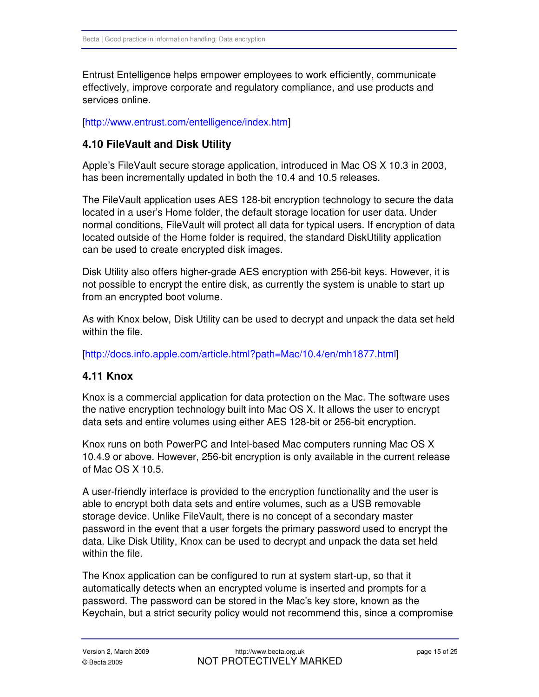Entrust Entelligence helps empower employees to work efficiently, communicate effectively, improve corporate and regulatory compliance, and use products and services online.

#### [\[http://www.entrust.com/entelligence/index.htm\]](http://www.entrust.com/entelligence/index.htm)

#### **4.10 FileVault and Disk Utility**

Apple's FileVault secure storage application, introduced in Mac OS X 10.3 in 2003, has been incrementally updated in both the 10.4 and 10.5 releases.

The FileVault application uses AES 128-bit encryption technology to secure the data located in a user's Home folder, the default storage location for user data. Under normal conditions, FileVault will protect all data for typical users. If encryption of data located outside of the Home folder is required, the standard DiskUtility application can be used to create encrypted disk images.

Disk Utility also offers higher-grade AES encryption with 256-bit keys. However, it is not possible to encrypt the entire disk, as currently the system is unable to start up from an encrypted boot volume.

As with Knox below, Disk Utility can be used to decrypt and unpack the data set held within the file.

[\[http://docs.info.apple.com/article.html?path=Mac/10.4/en/mh1877.html\]](http://docs.info.apple.com/article.html?path=Mac/10.4/en/mh1877.html) 

#### **4.11 Knox**

Knox is a commercial application for data protection on the Mac. The software uses the native encryption technology built into Mac OS X. It allows the user to encrypt data sets and entire volumes using either AES 128-bit or 256-bit encryption.

Knox runs on both PowerPC and Intel-based Mac computers running Mac OS X 10.4.9 or above. However, 256-bit encryption is only available in the current release of Mac OS X 10.5.

A user-friendly interface is provided to the encryption functionality and the user is able to encrypt both data sets and entire volumes, such as a USB removable storage device. Unlike FileVault, there is no concept of a secondary master password in the event that a user forgets the primary password used to encrypt the data. Like Disk Utility, Knox can be used to decrypt and unpack the data set held within the file.

The Knox application can be configured to run at system start-up, so that it automatically detects when an encrypted volume is inserted and prompts for a password. The password can be stored in the Mac's key store, known as the Keychain, but a strict security policy would not recommend this, since a compromise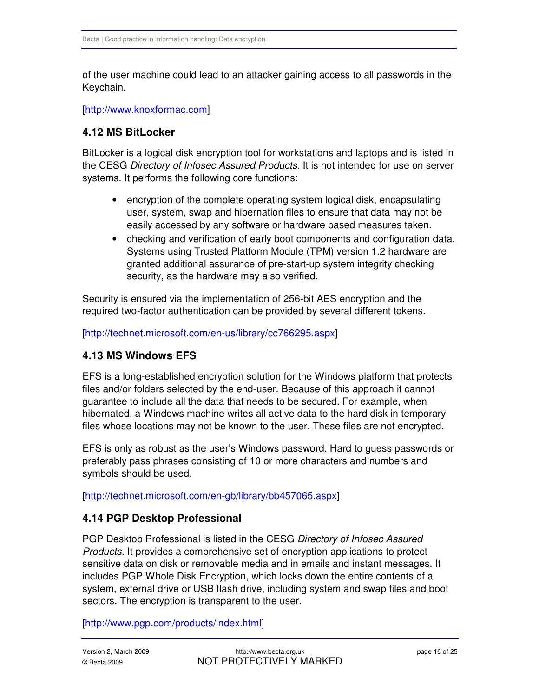of the user machine could lead to an attacker gaining access to all passwords in the Keychain.

#### [\[http://www.knoxformac.com\]](http://www.knoxformac.com)

#### **4.12 MS BitLocker**

BitLocker is a logical disk encryption tool for workstations and laptops and is listed in the CESG Directory of Infosec Assured Products. It is not intended for use on server systems. It performs the following core functions:

- encryption of the complete operating system logical disk, encapsulating user, system, swap and hibernation files to ensure that data may not be easily accessed by any software or hardware based measures taken.
- checking and verification of early boot components and configuration data. Systems using Trusted Platform Module (TPM) version 1.2 hardware are granted additional assurance of pre-start-up system integrity checking security, as the hardware may also verified.

Security is ensured via the implementation of 256-bit AES encryption and the required two-factor authentication can be provided by several different tokens.

[http://technet.microsoft.com/en-us/library/cc766295.aspx]

#### **4.13 MS Windows EFS**

EFS is a long-established encryption solution for the Windows platform that protects files and/or folders selected by the end-user. Because of this approach it cannot guarantee to include all the data that needs to be secured. For example, when hibernated, a Windows machine writes all active data to the hard disk in temporary files whose locations may not be known to the user. These files are not encrypted.

EFS is only as robust as the user's Windows password. Hard to guess passwords or preferably pass phrases consisting of 10 or more characters and numbers and symbols should be used.

[\[http://technet.microsoft.com/en-gb/library/bb457065.aspx\]](http://technet.microsoft.com/en-gb/library/bb457065.aspx) 

#### **4.14 PGP Desktop Professional**

PGP Desktop Professional is listed in the CESG Directory of Infosec Assured Products. It provides a comprehensive set of encryption applications to protect sensitive data on disk or removable media and in emails and instant messages. It includes PGP Whole Disk Encryption, which locks down the entire contents of a system, external drive or USB flash drive, including system and swap files and boot sectors. The encryption is transparent to the user.

[\[http://www.pgp.com/products/index.html\]](http://www.pgp.com/products/index.html)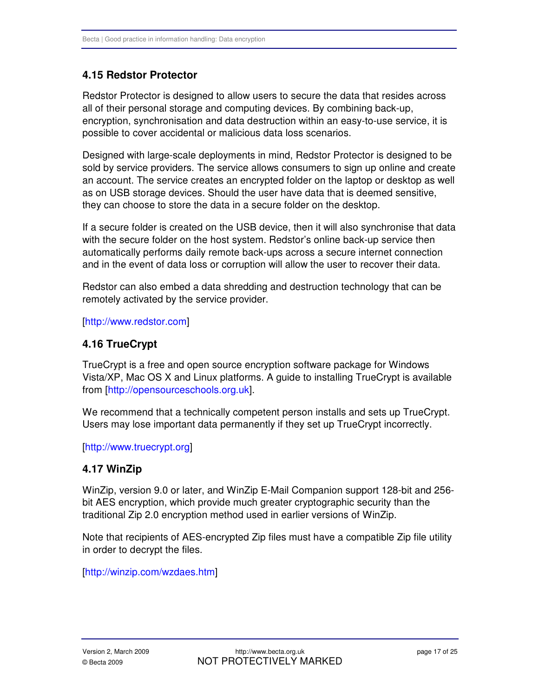### **4.15 Redstor Protector**

Redstor Protector is designed to allow users to secure the data that resides across all of their personal storage and computing devices. By combining back-up, encryption, synchronisation and data destruction within an easy-to-use service, it is possible to cover accidental or malicious data loss scenarios.

Designed with large-scale deployments in mind, Redstor Protector is designed to be sold by service providers. The service allows consumers to sign up online and create an account. The service creates an encrypted folder on the laptop or desktop as well as on USB storage devices. Should the user have data that is deemed sensitive, they can choose to store the data in a secure folder on the desktop.

If a secure folder is created on the USB device, then it will also synchronise that data with the secure folder on the host system. Redstor's online back-up service then automatically performs daily remote back-ups across a secure internet connection and in the event of data loss or corruption will allow the user to recover their data.

Redstor can also embed a data shredding and destruction technology that can be remotely activated by the service provider.

[\[http://www.redstor.com\]](http://www.redstor.com) 

#### **4.16 TrueCrypt**

TrueCrypt is a free and open source encryption software package for Windows Vista/XP, Mac OS X and Linux platforms. A guide to installing TrueCrypt is available fro[m \[http://opensourceschools.org.uk\].](http://opensourceschools.org.uk) 

We recommend that a technically competent person installs and sets up TrueCrypt. Users may lose important data permanently if they set up TrueCrypt incorrectly.

[\[http://www.truecrypt.org\]](http://www.truecrypt.org) 

#### **4.17 WinZip**

WinZip, version 9.0 or later, and WinZip E-Mail Companion support 128-bit and 256 bit AES encryption, which provide much greater cryptographic security than the traditional Zip 2.0 encryption method used in earlier versions of WinZip.

Note that recipients of AES-encrypted Zip files must have a compatible Zip file utility in order to decrypt the files.

[\[http://winzip.com/wzdaes.htm\]](http://winzip.com/wzdaes.htm)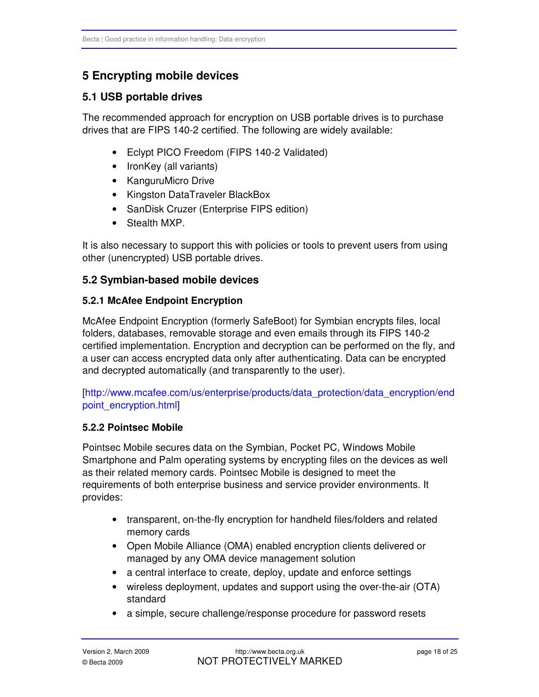## **5 Encrypting mobile devices**

#### **5.1 USB portable drives**

The recommended approach for encryption on USB portable drives is to purchase drives that are FIPS 140-2 certified. The following are widely available:

- Eclypt PICO Freedom (FIPS 140-2 Validated)
- IronKey (all variants)
- • KanguruMicro Drive
- • Kingston DataTraveler BlackBox
- SanDisk Cruzer (Enterprise FIPS edition)
- Stealth MXP.

It is also necessary to support this with policies or tools to prevent users from using other (unencrypted) USB portable drives.

#### **5.2 Symbian-based mobile devices**

#### **5.2.1 McAfee Endpoint Encryption**

McAfee Endpoint Encryption (formerly SafeBoot) for Symbian encrypts files, local folders, databases, removable storage and even emails through its FIPS 140-2 certified implementation. Encryption and decryption can be performed on the fly, and a user can access encrypted data only after authenticating. Data can be encrypted and decrypted automatically (and transparently to the user).

[\[http://www.mcafee.com/us/enterprise/products/data\\_protection/data\\_encryption/end](http://www.mcafee.com/us/enterprise/products/data_protection/data_encryption/endpoint_encryption.html)  point\_encryption.html]

#### **5.2.2 Pointsec Mobile**

Pointsec Mobile secures data on the Symbian, Pocket PC, Windows Mobile Smartphone and Palm operating systems by encrypting files on the devices as well as their related memory cards. Pointsec Mobile is designed to meet the requirements of both enterprise business and service provider environments. It provides:

- transparent, on-the-fly encryption for handheld files/folders and related memory cards
- Open Mobile Alliance (OMA) enabled encryption clients delivered or managed by any OMA device management solution
- a central interface to create, deploy, update and enforce settings
- wireless deployment, updates and support using the over-the-air (OTA) standard
- a simple, secure challenge/response procedure for password resets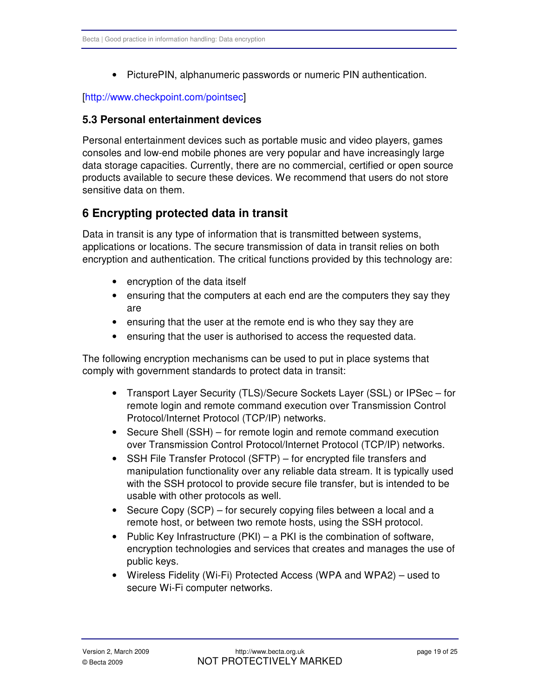• PicturePIN, alphanumeric passwords or numeric PIN authentication.

#### [http://www.checkpoint.com/pointsec]

#### **5.3 Personal entertainment devices**

Personal entertainment devices such as portable music and video players, games consoles and low-end mobile phones are very popular and have increasingly large data storage capacities. Currently, there are no commercial, certified or open source products available to secure these devices. We recommend that users do not store sensitive data on them.

## **6 Encrypting protected data in transit**

Data in transit is any type of information that is transmitted between systems, applications or locations. The secure transmission of data in transit relies on both encryption and authentication. The critical functions provided by this technology are:

- encryption of the data itself
- ensuring that the computers at each end are the computers they say they are
- ensuring that the user at the remote end is who they say they are
- ensuring that the user is authorised to access the requested data.

The following encryption mechanisms can be used to put in place systems that comply with government standards to protect data in transit:

- Transport Layer Security (TLS)/Secure Sockets Layer (SSL) or IPSec for remote login and remote command execution over Transmission Control Protocol/Internet Protocol (TCP/IP) networks.
- Secure Shell (SSH) for remote login and remote command execution over Transmission Control Protocol/Internet Protocol (TCP/IP) networks.
- SSH File Transfer Protocol (SFTP) for encrypted file transfers and manipulation functionality over any reliable data stream. It is typically used with the SSH protocol to provide secure file transfer, but is intended to be usable with other protocols as well.
- Secure Copy (SCP) for securely copying files between a local and a remote host, or between two remote hosts, using the SSH protocol.
- Public Key Infrastructure (PKI) a PKI is the combination of software, encryption technologies and services that creates and manages the use of public keys.
- Wireless Fidelity (Wi-Fi) Protected Access (WPA and WPA2) used to secure Wi-Fi computer networks.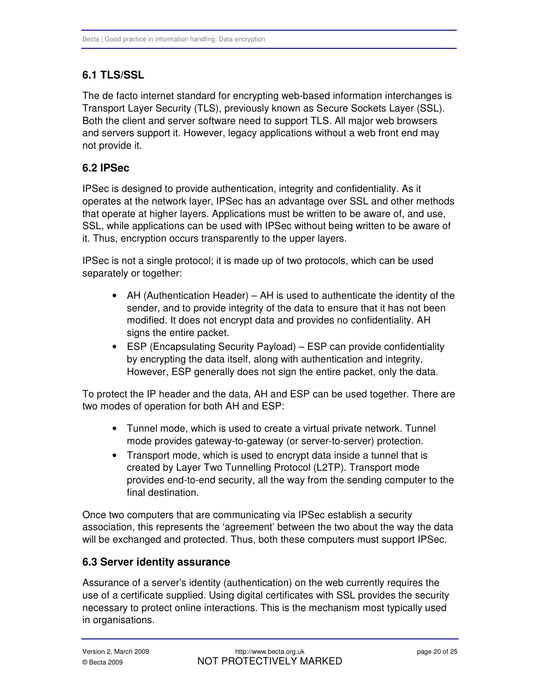## <span id="page-19-0"></span>**6.1 TLS/SSL**

The de facto internet standard for encrypting web-based information interchanges is Transport Layer Security (TLS), previously known as Secure Sockets Layer (SSL). Both the client and server software need to support TLS. All major web browsers and servers support it. However, legacy applications without a web front end may not provide it.

## **6.2 IPSec**

IPSec is designed to provide authentication, integrity and confidentiality. As it operates at the network layer, IPSec has an advantage over SSL and other methods that operate at higher layers. Applications must be written to be aware of, and use, SSL, while applications can be used with IPSec without being written to be aware of it. Thus, encryption occurs transparently to the upper layers.

IPSec is not a single protocol; it is made up of two protocols, which can be used separately or together:

- AH (Authentication Header) AH is used to authenticate the identity of the sender, and to provide integrity of the data to ensure that it has not been modified. It does not encrypt data and provides no confidentiality. AH signs the entire packet.
- ESP (Encapsulating Security Payload) ESP can provide confidentiality by encrypting the data itself, along with authentication and integrity. However, ESP generally does not sign the entire packet, only the data.

To protect the IP header and the data, AH and ESP can be used together. There are two modes of operation for both AH and ESP:

- Tunnel mode, which is used to create a virtual private network. Tunnel mode provides gateway-to-gateway (or server-to-server) protection.
- Transport mode, which is used to encrypt data inside a tunnel that is created by Layer Two Tunnelling Protocol (L2TP). Transport mode provides end-to-end security, all the way from the sending computer to the final destination.

Once two computers that are communicating via IPSec establish a security association, this represents the 'agreement' between the two about the way the data will be exchanged and protected. Thus, both these computers must support IPSec.

## **6.3 Server identity assurance**

Assurance of a server's identity (authentication) on the web currently requires the use of a certificate supplied. Using digital certificates with SSL provides the security necessary to protect online interactions. This is the mechanism most typically used in organisations.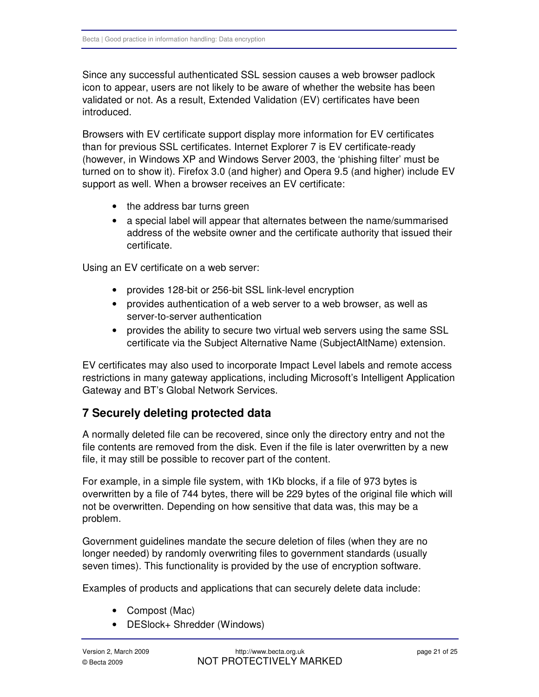Since any successful authenticated SSL session causes a web browser padlock icon to appear, users are not likely to be aware of whether the website has been validated or not. As a result, Extended Validation (EV) certificates have been introduced.

Browsers with EV certificate support display more information for EV certificates than for previous SSL certificates. Internet Explorer 7 is EV certificate-ready (however, in Windows XP and Windows Server 2003, the 'phishing filter' must be turned on to show it). Firefox 3.0 (and higher) and Opera 9.5 (and higher) include EV support as well. When a browser receives an EV certificate:

- the address bar turns green
- a special label will appear that alternates between the name/summarised address of the website owner and the certificate authority that issued their certificate.

Using an EV certificate on a web server:

- provides 128-bit or 256-bit SSL link-level encryption
- provides authentication of a web server to a web browser, as well as server-to-server authentication
- provides the ability to secure two virtual web servers using the same SSL certificate via the Subject Alternative Name (SubjectAltName) extension.

EV certificates may also used to incorporate Impact Level labels and remote access restrictions in many gateway applications, including Microsoft's Intelligent Application Gateway and BT's Global Network Services.

## **7 Securely deleting protected data**

A normally deleted file can be recovered, since only the directory entry and not the file contents are removed from the disk. Even if the file is later overwritten by a new file, it may still be possible to recover part of the content.

For example, in a simple file system, with 1Kb blocks, if a file of 973 bytes is overwritten by a file of 744 bytes, there will be 229 bytes of the original file which will not be overwritten. Depending on how sensitive that data was, this may be a problem.

Government guidelines mandate the secure deletion of files (when they are no longer needed) by randomly overwriting files to government standards (usually seven times). This functionality is provided by the use of encryption software.

Examples of products and applications that can securely delete data include:

- Compost (Mac)
- DESlock+ Shredder (Windows)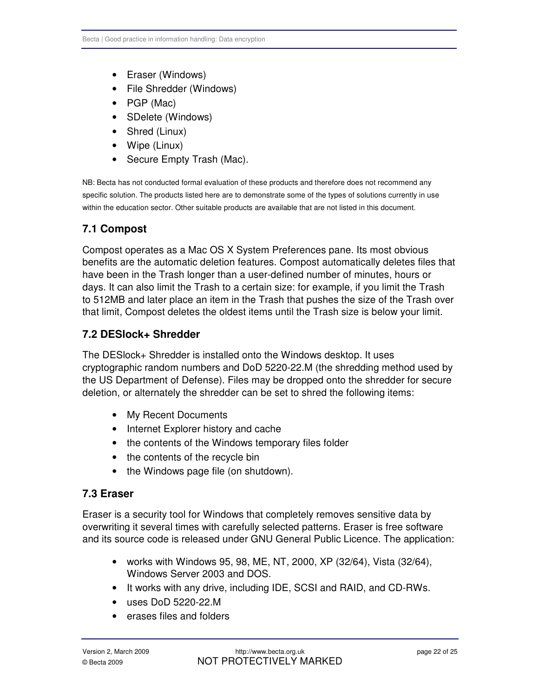- Eraser (Windows)
- File Shredder (Windows)
- • PGP (Mac)
- SDelete (Windows)
- Shred (Linux)
- Wipe (Linux)
- Secure Empty Trash (Mac).

NB: Becta has not conducted formal evaluation of these products and therefore does not recommend any specific solution. The products listed here are to demonstrate some of the types of solutions currently in use within the education sector. Other suitable products are available that are not listed in this document.

### **7.1 Compost**

Compost operates as a Mac OS X System Preferences pane. Its most obvious benefits are the automatic deletion features. Compost automatically deletes files that have been in the Trash longer than a user-defined number of minutes, hours or days. It can also limit the Trash to a certain size: for example, if you limit the Trash to 512MB and later place an item in the Trash that pushes the size of the Trash over that limit, Compost deletes the oldest items until the Trash size is below your limit.

#### **7.2 DESlock+ Shredder**

The DESlock+ Shredder is installed onto the Windows desktop. It uses cryptographic random numbers and DoD 5220-22.M (the shredding method used by the US Department of Defense). Files may be dropped onto the shredder for secure deletion, or alternately the shredder can be set to shred the following items:

- My Recent Documents
- Internet Explorer history and cache
- the contents of the Windows temporary files folder
- the contents of the recycle bin
- the Windows page file (on shutdown).

#### **7.3 Eraser**

Eraser is a security tool for Windows that completely removes sensitive data by overwriting it several times with carefully selected patterns. Eraser is free software and its source code is released under GNU General Public Licence. The application:

- works with Windows 95, 98, ME, NT, 2000, XP (32/64), Vista (32/64), Windows Server 2003 and DOS.
- It works with any drive, including IDE, SCSI and RAID, and CD-RWs.
- • uses DoD 5220-22.M
- • erases files and folders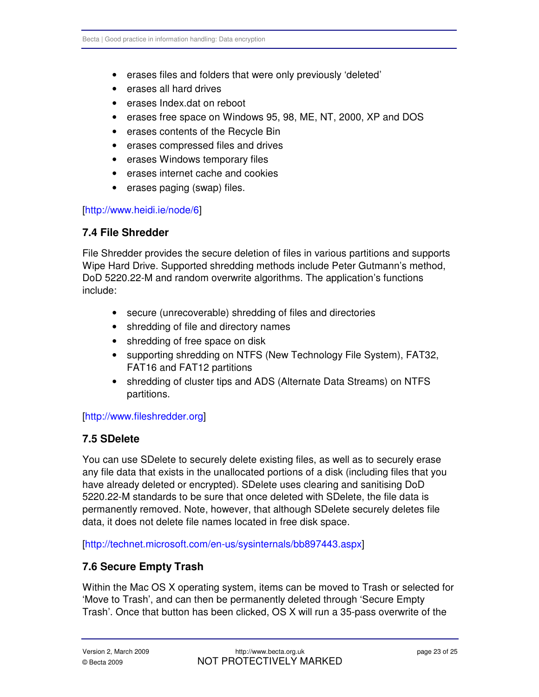- erases files and folders that were only previously 'deleted'
- erases all hard drives
- • erases Index.dat on reboot
- erases free space on Windows 95, 98, ME, NT, 2000, XP and DOS
- erases contents of the Recycle Bin
- • erases compressed files and drives
- erases Windows temporary files
- erases internet cache and cookies
- erases paging (swap) files.

#### [\[http://www.heidi.ie/node/6\]](http://www.heidi.ie/node/6)

#### **7.4 File Shredder**

File Shredder provides the secure deletion of files in various partitions and supports Wipe Hard Drive. Supported shredding methods include Peter Gutmann's method, DoD 5220.22-M and random overwrite algorithms. The application's functions include:

- secure (unrecoverable) shredding of files and directories
- shredding of file and directory names
- shredding of free space on disk
- supporting shredding on NTFS (New Technology File System), FAT32, FAT16 and FAT12 partitions
- shredding of cluster tips and ADS (Alternate Data Streams) on NTFS partitions.

#### [\[http://www.fileshredder.org\]](http://www.fileshredder.org)

#### **7.5 SDelete**

You can use SDelete to securely delete existing files, as well as to securely erase any file data that exists in the unallocated portions of a disk (including files that you have already deleted or encrypted). SDelete uses clearing and sanitising DoD 5220.22-M standards to be sure that once deleted with SDelete, the file data is permanently removed. Note, however, that although SDelete securely deletes file data, it does not delete file names located in free disk space.

[\[http://technet.microsoft.com/en-us/sysinternals/bb897443.aspx\]](http://technet.microsoft.com/en-us/sysinternals/bb897443.aspx) 

## **7.6 Secure Empty Trash**

Within the Mac OS X operating system, items can be moved to Trash or selected for 'Move to Trash', and can then be permanently deleted through 'Secure Empty Trash'. Once that button has been clicked, OS X will run a 35-pass overwrite of the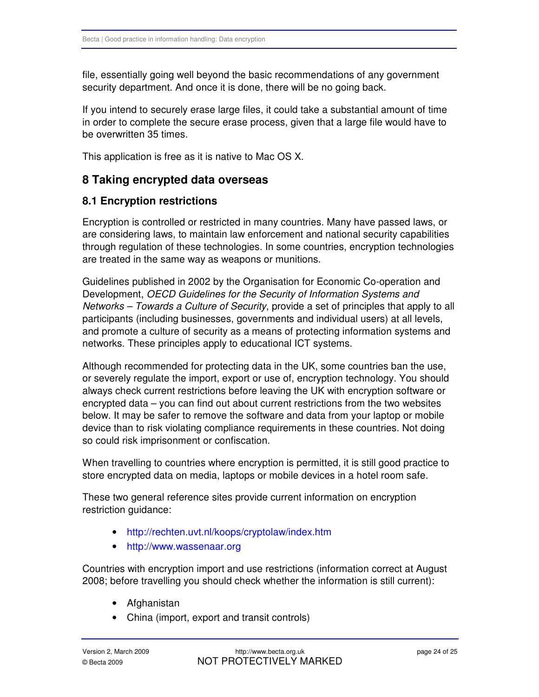file, essentially going well beyond the basic recommendations of any government security department. And once it is done, there will be no going back.

If you intend to securely erase large files, it could take a substantial amount of time in order to complete the secure erase process, given that a large file would have to be overwritten 35 times.

This application is free as it is native to Mac OS X.

## **8 Taking encrypted data overseas**

#### **8.1 Encryption restrictions**

Encryption is controlled or restricted in many countries. Many have passed laws, or are considering laws, to maintain law enforcement and national security capabilities through regulation of these technologies. In some countries, encryption technologies are treated in the same way as weapons or munitions.

Guidelines published in 2002 by the Organisation for Economic Co-operation and Development, OECD Guidelines for the Security of Information Systems and Networks – Towards a Culture of Security, provide a set of principles that apply to all participants (including businesses, governments and individual users) at all levels, and promote a culture of security as a means of protecting information systems and networks. These principles apply to educational ICT systems.

Although recommended for protecting data in the UK, some countries ban the use, or severely regulate the import, export or use of, encryption technology. You should always check current restrictions before leaving the UK with encryption software or encrypted data – you can find out about current restrictions from the two websites below. It may be safer to remove the software and data from your laptop or mobile device than to risk violating compliance requirements in these countries. Not doing so could risk imprisonment or confiscation.

When travelling to countries where encryption is permitted, it is still good practice to store encrypted data on media, laptops or mobile devices in a hotel room safe.

These two general reference sites provide current information on encryption restriction guidance:

- http://rechten.uvt.nl/koops/cryptolaw/index.htm
- http://www.wassenaar.org

Countries with encryption import and use restrictions (information correct at August 2008; before travelling you should check whether the information is still current):

- Afghanistan
- China (import, export and transit controls)